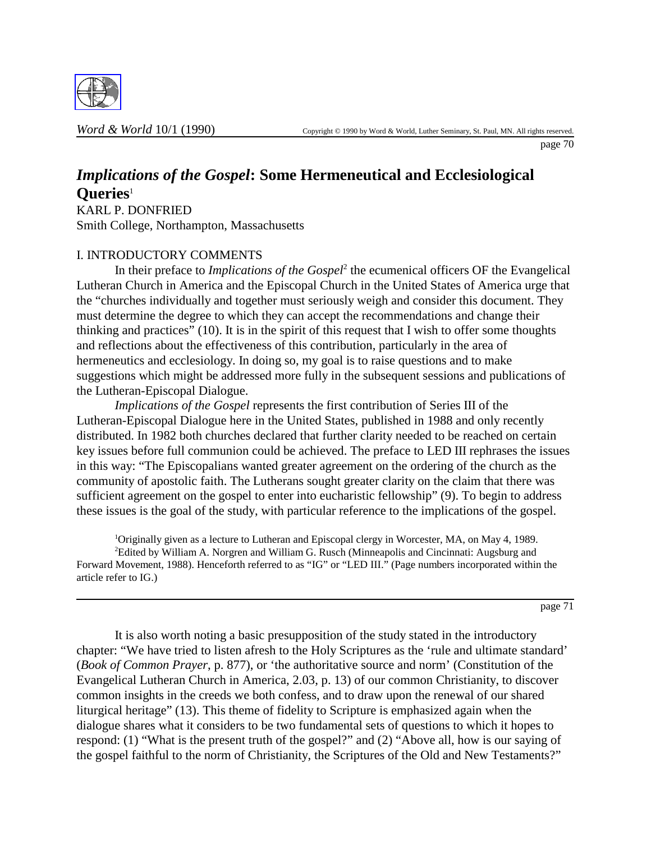

page 70

# *Implications of the Gospel***: Some Hermeneutical and Ecclesiological Queries**<sup>1</sup>

KARL P. DONFRIED Smith College, Northampton, Massachusetts

## I. INTRODUCTORY COMMENTS

In their preface to *Implications of the Gospel*<sup>2</sup> the ecumenical officers OF the Evangelical Lutheran Church in America and the Episcopal Church in the United States of America urge that the "churches individually and together must seriously weigh and consider this document. They must determine the degree to which they can accept the recommendations and change their thinking and practices" (10). It is in the spirit of this request that I wish to offer some thoughts and reflections about the effectiveness of this contribution, particularly in the area of hermeneutics and ecclesiology. In doing so, my goal is to raise questions and to make suggestions which might be addressed more fully in the subsequent sessions and publications of the Lutheran-Episcopal Dialogue.

*Implications of the Gospel* represents the first contribution of Series III of the Lutheran-Episcopal Dialogue here in the United States, published in 1988 and only recently distributed. In 1982 both churches declared that further clarity needed to be reached on certain key issues before full communion could be achieved. The preface to LED III rephrases the issues in this way: "The Episcopalians wanted greater agreement on the ordering of the church as the community of apostolic faith. The Lutherans sought greater clarity on the claim that there was sufficient agreement on the gospel to enter into eucharistic fellowship" (9). To begin to address these issues is the goal of the study, with particular reference to the implications of the gospel.

<sup>1</sup>Originally given as a lecture to Lutheran and Episcopal clergy in Worcester, MA, on May 4, 1989. <sup>2</sup>Edited by William A. Norgren and William G. Rusch (Minneapolis and Cincinnati: Augsburg and Forward Movement, 1988). Henceforth referred to as "IG" or "LED III." (Page numbers incorporated within the article refer to IG.)

page 71

It is also worth noting a basic presupposition of the study stated in the introductory chapter: "We have tried to listen afresh to the Holy Scriptures as the 'rule and ultimate standard' (*Book of Common Prayer*, p. 877), or 'the authoritative source and norm' (Constitution of the Evangelical Lutheran Church in America, 2.03, p. 13) of our common Christianity, to discover common insights in the creeds we both confess, and to draw upon the renewal of our shared liturgical heritage" (13). This theme of fidelity to Scripture is emphasized again when the dialogue shares what it considers to be two fundamental sets of questions to which it hopes to respond: (1) "What is the present truth of the gospel?" and (2) "Above all, how is our saying of the gospel faithful to the norm of Christianity, the Scriptures of the Old and New Testaments?"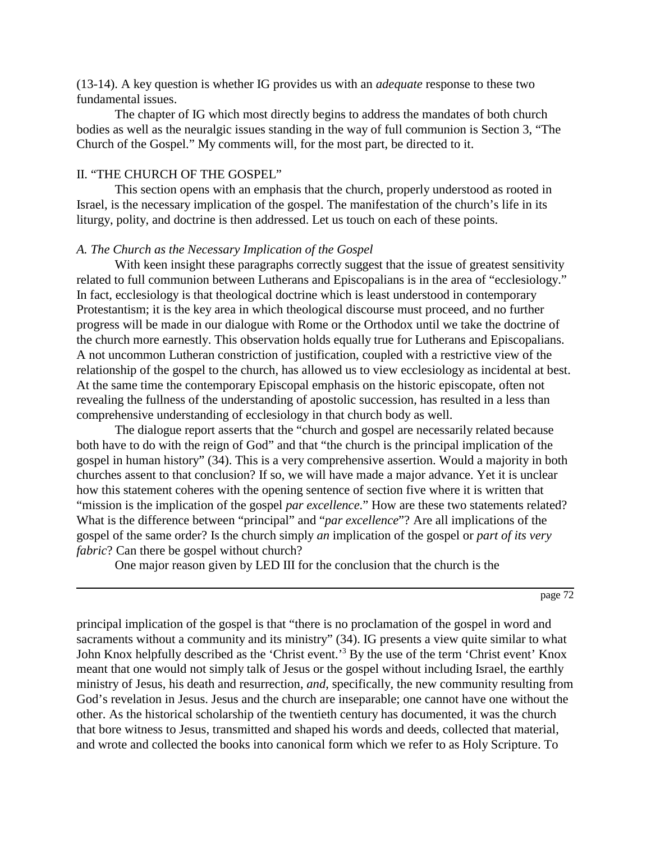(13-14). A key question is whether IG provides us with an *adequate* response to these two fundamental issues.

The chapter of IG which most directly begins to address the mandates of both church bodies as well as the neuralgic issues standing in the way of full communion is Section 3, "The Church of the Gospel." My comments will, for the most part, be directed to it.

#### II. "THE CHURCH OF THE GOSPEL"

This section opens with an emphasis that the church, properly understood as rooted in Israel, is the necessary implication of the gospel. The manifestation of the church's life in its liturgy, polity, and doctrine is then addressed. Let us touch on each of these points.

#### *A. The Church as the Necessary Implication of the Gospel*

With keen insight these paragraphs correctly suggest that the issue of greatest sensitivity related to full communion between Lutherans and Episcopalians is in the area of "ecclesiology." In fact, ecclesiology is that theological doctrine which is least understood in contemporary Protestantism; it is the key area in which theological discourse must proceed, and no further progress will be made in our dialogue with Rome or the Orthodox until we take the doctrine of the church more earnestly. This observation holds equally true for Lutherans and Episcopalians. A not uncommon Lutheran constriction of justification, coupled with a restrictive view of the relationship of the gospel to the church, has allowed us to view ecclesiology as incidental at best. At the same time the contemporary Episcopal emphasis on the historic episcopate, often not revealing the fullness of the understanding of apostolic succession, has resulted in a less than comprehensive understanding of ecclesiology in that church body as well.

The dialogue report asserts that the "church and gospel are necessarily related because both have to do with the reign of God" and that "the church is the principal implication of the gospel in human history" (34). This is a very comprehensive assertion. Would a majority in both churches assent to that conclusion? If so, we will have made a major advance. Yet it is unclear how this statement coheres with the opening sentence of section five where it is written that "mission is the implication of the gospel *par excellence*." How are these two statements related? What is the difference between "principal" and "*par excellence*"? Are all implications of the gospel of the same order? Is the church simply *an* implication of the gospel or *part of its very fabric*? Can there be gospel without church?

One major reason given by LED III for the conclusion that the church is the

page 72

principal implication of the gospel is that "there is no proclamation of the gospel in word and sacraments without a community and its ministry" (34). IG presents a view quite similar to what John Knox helpfully described as the 'Christ event.'<sup>3</sup> By the use of the term 'Christ event' Knox meant that one would not simply talk of Jesus or the gospel without including Israel, the earthly ministry of Jesus, his death and resurrection, *and*, specifically, the new community resulting from God's revelation in Jesus. Jesus and the church are inseparable; one cannot have one without the other. As the historical scholarship of the twentieth century has documented, it was the church that bore witness to Jesus, transmitted and shaped his words and deeds, collected that material, and wrote and collected the books into canonical form which we refer to as Holy Scripture. To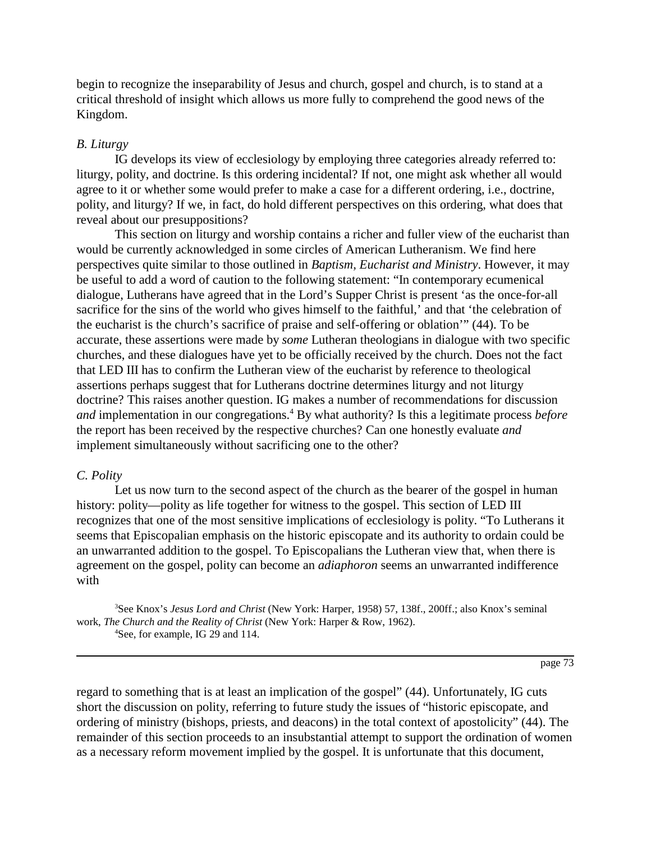begin to recognize the inseparability of Jesus and church, gospel and church, is to stand at a critical threshold of insight which allows us more fully to comprehend the good news of the Kingdom.

## *B. Liturgy*

IG develops its view of ecclesiology by employing three categories already referred to: liturgy, polity, and doctrine. Is this ordering incidental? If not, one might ask whether all would agree to it or whether some would prefer to make a case for a different ordering, i.e., doctrine, polity, and liturgy? If we, in fact, do hold different perspectives on this ordering, what does that reveal about our presuppositions?

This section on liturgy and worship contains a richer and fuller view of the eucharist than would be currently acknowledged in some circles of American Lutheranism. We find here perspectives quite similar to those outlined in *Baptism, Eucharist and Ministry*. However, it may be useful to add a word of caution to the following statement: "In contemporary ecumenical dialogue, Lutherans have agreed that in the Lord's Supper Christ is present 'as the once-for-all sacrifice for the sins of the world who gives himself to the faithful,' and that 'the celebration of the eucharist is the church's sacrifice of praise and self-offering or oblation'" (44). To be accurate, these assertions were made by *some* Lutheran theologians in dialogue with two specific churches, and these dialogues have yet to be officially received by the church. Does not the fact that LED III has to confirm the Lutheran view of the eucharist by reference to theological assertions perhaps suggest that for Lutherans doctrine determines liturgy and not liturgy doctrine? This raises another question. IG makes a number of recommendations for discussion and implementation in our congregations.<sup>4</sup> By what authority? Is this a legitimate process *before* the report has been received by the respective churches? Can one honestly evaluate *and* implement simultaneously without sacrificing one to the other?

## *C. Polity*

Let us now turn to the second aspect of the church as the bearer of the gospel in human history: polity—polity as life together for witness to the gospel. This section of LED III recognizes that one of the most sensitive implications of ecclesiology is polity. "To Lutherans it seems that Episcopalian emphasis on the historic episcopate and its authority to ordain could be an unwarranted addition to the gospel. To Episcopalians the Lutheran view that, when there is agreement on the gospel, polity can become an *adiaphoron* seems an unwarranted indifference with

3 See Knox's *Jesus Lord and Christ* (New York: Harper, 1958) 57, 138f., 200ff.; also Knox's seminal work, *The Church and the Reality of Christ* (New York: Harper & Row, 1962). 4 See, for example, IG 29 and 114.

page 73

regard to something that is at least an implication of the gospel" (44). Unfortunately, IG cuts short the discussion on polity, referring to future study the issues of "historic episcopate, and ordering of ministry (bishops, priests, and deacons) in the total context of apostolicity" (44). The remainder of this section proceeds to an insubstantial attempt to support the ordination of women as a necessary reform movement implied by the gospel. It is unfortunate that this document,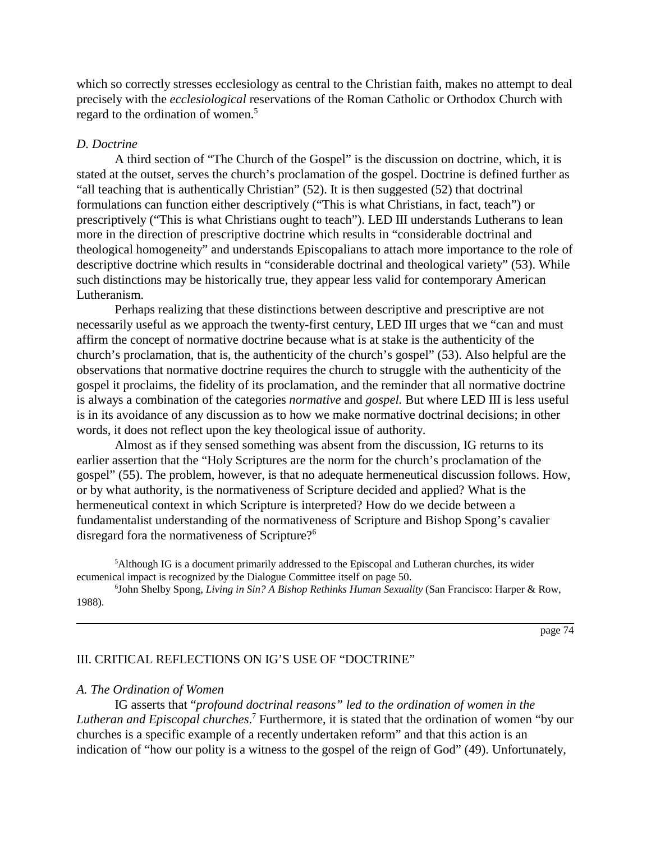which so correctly stresses ecclesiology as central to the Christian faith, makes no attempt to deal precisely with the *ecclesiological* reservations of the Roman Catholic or Orthodox Church with regard to the ordination of women.<sup>5</sup>

#### *D. Doctrine*

A third section of "The Church of the Gospel" is the discussion on doctrine, which, it is stated at the outset, serves the church's proclamation of the gospel. Doctrine is defined further as "all teaching that is authentically Christian"  $(52)$ . It is then suggested  $(52)$  that doctrinal formulations can function either descriptively ("This is what Christians, in fact, teach") or prescriptively ("This is what Christians ought to teach"). LED III understands Lutherans to lean more in the direction of prescriptive doctrine which results in "considerable doctrinal and theological homogeneity" and understands Episcopalians to attach more importance to the role of descriptive doctrine which results in "considerable doctrinal and theological variety" (53). While such distinctions may be historically true, they appear less valid for contemporary American Lutheranism.

Perhaps realizing that these distinctions between descriptive and prescriptive are not necessarily useful as we approach the twenty-first century, LED III urges that we "can and must affirm the concept of normative doctrine because what is at stake is the authenticity of the church's proclamation, that is, the authenticity of the church's gospel" (53). Also helpful are the observations that normative doctrine requires the church to struggle with the authenticity of the gospel it proclaims, the fidelity of its proclamation, and the reminder that all normative doctrine is always a combination of the categories *normative* and *gospel.* But where LED III is less useful is in its avoidance of any discussion as to how we make normative doctrinal decisions; in other words, it does not reflect upon the key theological issue of authority.

Almost as if they sensed something was absent from the discussion, IG returns to its earlier assertion that the "Holy Scriptures are the norm for the church's proclamation of the gospel" (55). The problem, however, is that no adequate hermeneutical discussion follows. How, or by what authority, is the normativeness of Scripture decided and applied? What is the hermeneutical context in which Scripture is interpreted? How do we decide between a fundamentalist understanding of the normativeness of Scripture and Bishop Spong's cavalier disregard fora the normativeness of Scripture?<sup>6</sup>

5 Although IG is a document primarily addressed to the Episcopal and Lutheran churches, its wider ecumenical impact is recognized by the Dialogue Committee itself on page 50.

6 John Shelby Spong, *Living in Sin? A Bishop Rethinks Human Sexuality* (San Francisco: Harper & Row, 1988).

page 74

## III. CRITICAL REFLECTIONS ON IG'S USE OF "DOCTRINE"

#### *A. The Ordination of Women*

IG asserts that "*profound doctrinal reasons" led to the ordination of women in the* Lutheran and Episcopal churches.<sup>7</sup> Furthermore, it is stated that the ordination of women "by our churches is a specific example of a recently undertaken reform" and that this action is an indication of "how our polity is a witness to the gospel of the reign of God" (49). Unfortunately,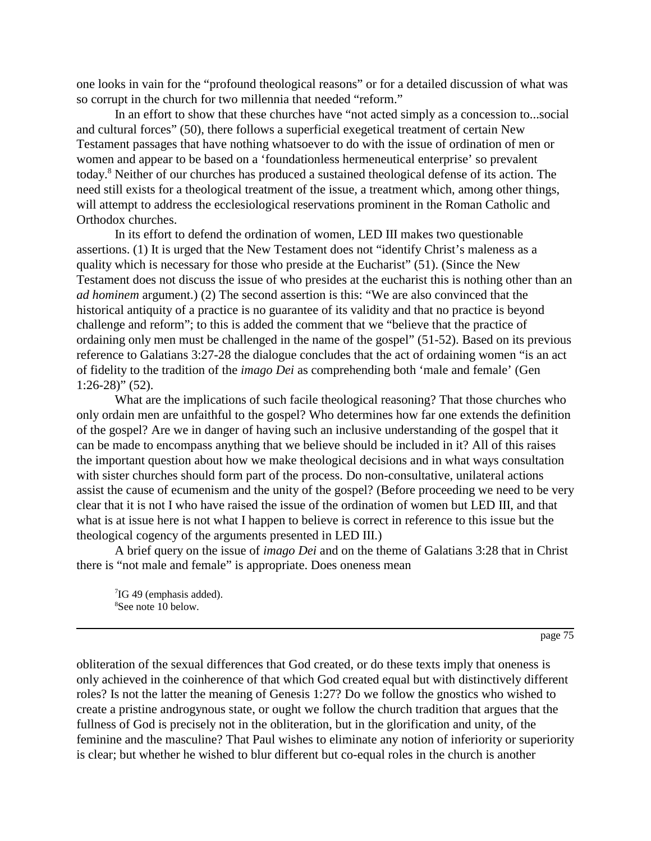one looks in vain for the "profound theological reasons" or for a detailed discussion of what was so corrupt in the church for two millennia that needed "reform."

In an effort to show that these churches have "not acted simply as a concession to...social and cultural forces" (50), there follows a superficial exegetical treatment of certain New Testament passages that have nothing whatsoever to do with the issue of ordination of men or women and appear to be based on a 'foundationless hermeneutical enterprise' so prevalent today.<sup>8</sup> Neither of our churches has produced a sustained theological defense of its action. The need still exists for a theological treatment of the issue, a treatment which, among other things, will attempt to address the ecclesiological reservations prominent in the Roman Catholic and Orthodox churches.

In its effort to defend the ordination of women, LED III makes two questionable assertions. (1) It is urged that the New Testament does not "identify Christ's maleness as a quality which is necessary for those who preside at the Eucharist" (51). (Since the New Testament does not discuss the issue of who presides at the eucharist this is nothing other than an *ad hominem* argument.) (2) The second assertion is this: "We are also convinced that the historical antiquity of a practice is no guarantee of its validity and that no practice is beyond challenge and reform"; to this is added the comment that we "believe that the practice of ordaining only men must be challenged in the name of the gospel" (51-52). Based on its previous reference to Galatians 3:27-28 the dialogue concludes that the act of ordaining women "is an act of fidelity to the tradition of the *imago Dei* as comprehending both 'male and female' (Gen 1:26-28)" (52).

What are the implications of such facile theological reasoning? That those churches who only ordain men are unfaithful to the gospel? Who determines how far one extends the definition of the gospel? Are we in danger of having such an inclusive understanding of the gospel that it can be made to encompass anything that we believe should be included in it? All of this raises the important question about how we make theological decisions and in what ways consultation with sister churches should form part of the process. Do non-consultative, unilateral actions assist the cause of ecumenism and the unity of the gospel? (Before proceeding we need to be very clear that it is not I who have raised the issue of the ordination of women but LED III, and that what is at issue here is not what I happen to believe is correct in reference to this issue but the theological cogency of the arguments presented in LED III.)

A brief query on the issue of *imago Dei* and on the theme of Galatians 3:28 that in Christ there is "not male and female" is appropriate. Does oneness mean

<sup>7</sup>IG 49 (emphasis added). 8 See note 10 below.

page 75

obliteration of the sexual differences that God created, or do these texts imply that oneness is only achieved in the coinherence of that which God created equal but with distinctively different roles? Is not the latter the meaning of Genesis 1:27? Do we follow the gnostics who wished to create a pristine androgynous state, or ought we follow the church tradition that argues that the fullness of God is precisely not in the obliteration, but in the glorification and unity, of the feminine and the masculine? That Paul wishes to eliminate any notion of inferiority or superiority is clear; but whether he wished to blur different but co-equal roles in the church is another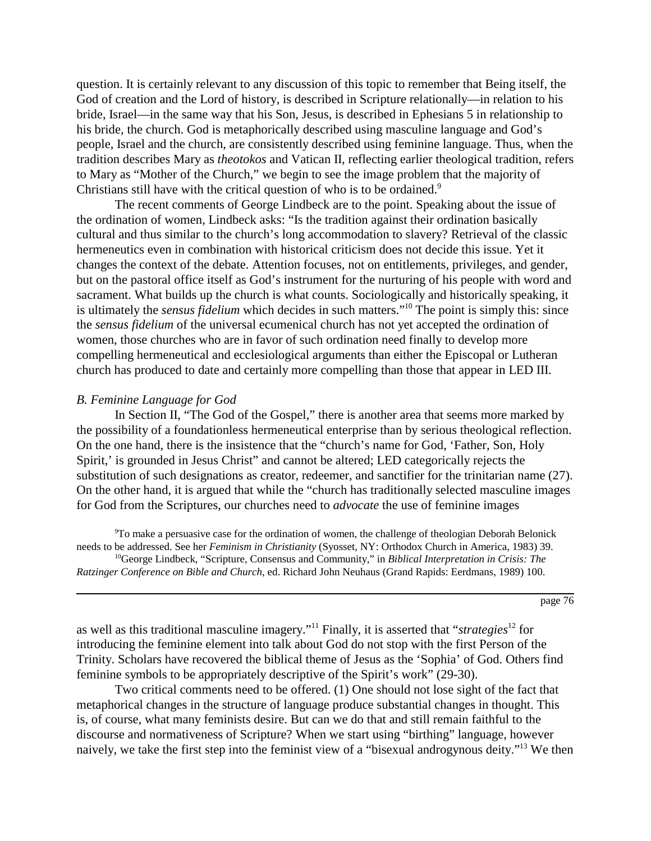question. It is certainly relevant to any discussion of this topic to remember that Being itself, the God of creation and the Lord of history, is described in Scripture relationally—in relation to his bride, Israel—in the same way that his Son, Jesus, is described in Ephesians 5 in relationship to his bride, the church. God is metaphorically described using masculine language and God's people, Israel and the church, are consistently described using feminine language. Thus, when the tradition describes Mary as *theotokos* and Vatican II, reflecting earlier theological tradition, refers to Mary as "Mother of the Church," we begin to see the image problem that the majority of Christians still have with the critical question of who is to be ordained.<sup>9</sup>

The recent comments of George Lindbeck are to the point. Speaking about the issue of the ordination of women, Lindbeck asks: "Is the tradition against their ordination basically cultural and thus similar to the church's long accommodation to slavery? Retrieval of the classic hermeneutics even in combination with historical criticism does not decide this issue. Yet it changes the context of the debate. Attention focuses, not on entitlements, privileges, and gender, but on the pastoral office itself as God's instrument for the nurturing of his people with word and sacrament. What builds up the church is what counts. Sociologically and historically speaking, it is ultimately the *sensus fidelium* which decides in such matters."10 The point is simply this: since the *sensus fidelium* of the universal ecumenical church has not yet accepted the ordination of women, those churches who are in favor of such ordination need finally to develop more compelling hermeneutical and ecclesiological arguments than either the Episcopal or Lutheran church has produced to date and certainly more compelling than those that appear in LED III.

#### *B. Feminine Language for God*

In Section II, "The God of the Gospel," there is another area that seems more marked by the possibility of a foundationless hermeneutical enterprise than by serious theological reflection. On the one hand, there is the insistence that the "church's name for God, 'Father, Son, Holy Spirit,' is grounded in Jesus Christ" and cannot be altered; LED categorically rejects the substitution of such designations as creator, redeemer, and sanctifier for the trinitarian name (27). On the other hand, it is argued that while the "church has traditionally selected masculine images for God from the Scriptures, our churches need to *advocate* the use of feminine images

9 To make a persuasive case for the ordination of women, the challenge of theologian Deborah Belonick needs to be addressed. See her *Feminism in Christianity* (Syosset, NY: Orthodox Church in America, 1983) 39. 10George Lindbeck, "Scripture, Consensus and Community," in *Biblical Interpretation in Crisis: The Ratzinger Conference on Bible and Church*, ed. Richard John Neuhaus (Grand Rapids: Eerdmans, 1989) 100.

page 76

as well as this traditional masculine imagery."11 Finally, it is asserted that "*strategies*12 for introducing the feminine element into talk about God do not stop with the first Person of the Trinity. Scholars have recovered the biblical theme of Jesus as the 'Sophia' of God. Others find feminine symbols to be appropriately descriptive of the Spirit's work" (29-30).

Two critical comments need to be offered. (1) One should not lose sight of the fact that metaphorical changes in the structure of language produce substantial changes in thought. This is, of course, what many feminists desire. But can we do that and still remain faithful to the discourse and normativeness of Scripture? When we start using "birthing" language, however naively, we take the first step into the feminist view of a "bisexual androgynous deity."13 We then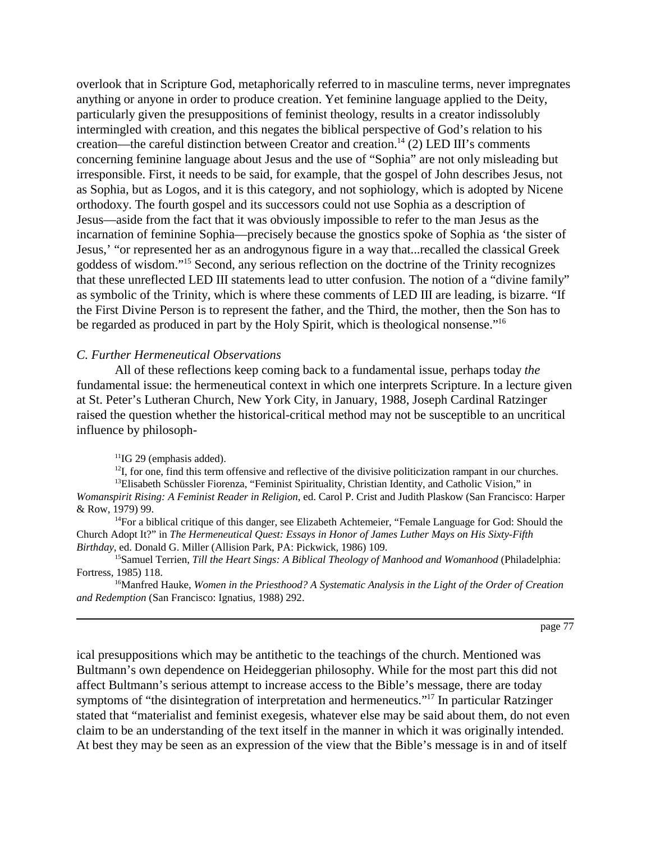overlook that in Scripture God, metaphorically referred to in masculine terms, never impregnates anything or anyone in order to produce creation. Yet feminine language applied to the Deity, particularly given the presuppositions of feminist theology, results in a creator indissolubly intermingled with creation, and this negates the biblical perspective of God's relation to his creation—the careful distinction between Creator and creation.<sup>14</sup> (2) LED III's comments concerning feminine language about Jesus and the use of "Sophia" are not only misleading but irresponsible. First, it needs to be said, for example, that the gospel of John describes Jesus, not as Sophia, but as Logos, and it is this category, and not sophiology, which is adopted by Nicene orthodoxy. The fourth gospel and its successors could not use Sophia as a description of Jesus—aside from the fact that it was obviously impossible to refer to the man Jesus as the incarnation of feminine Sophia—precisely because the gnostics spoke of Sophia as 'the sister of Jesus,' "or represented her as an androgynous figure in a way that...recalled the classical Greek goddess of wisdom."15 Second, any serious reflection on the doctrine of the Trinity recognizes that these unreflected LED III statements lead to utter confusion. The notion of a "divine family" as symbolic of the Trinity, which is where these comments of LED III are leading, is bizarre. "If the First Divine Person is to represent the father, and the Third, the mother, then the Son has to be regarded as produced in part by the Holy Spirit, which is theological nonsense."<sup>16</sup>

#### *C. Further Hermeneutical Observations*

All of these reflections keep coming back to a fundamental issue, perhaps today *the* fundamental issue: the hermeneutical context in which one interprets Scripture. In a lecture given at St. Peter's Lutheran Church, New York City, in January, 1988, Joseph Cardinal Ratzinger raised the question whether the historical-critical method may not be susceptible to an uncritical influence by philosoph-

<sup>11</sup>IG 29 (emphasis added).

 $^{12}I$ , for one, find this term offensive and reflective of the divisive politicization rampant in our churches.  $<sup>13</sup>E$ lisabeth Schüssler Fiorenza, "Feminist Spirituality, Christian Identity, and Catholic Vision," in</sup>

*Womanspirit Rising: A Feminist Reader in Religion*, ed. Carol P. Crist and Judith Plaskow (San Francisco: Harper & Row, 1979) 99.

 $14$ For a biblical critique of this danger, see Elizabeth Achtemeier, "Female Language for God: Should the Church Adopt It?" in *The Hermeneutical Quest: Essays in Honor of James Luther Mays on His Sixty-Fifth Birthday*, ed. Donald G. Miller (Allision Park, PA: Pickwick, 1986) 109.

<sup>15</sup>Samuel Terrien, *Till the Heart Sings: A Biblical Theology of Manhood and Womanhood* (Philadelphia: Fortress, 1985) 118.

16Manfred Hauke, *Women in the Priesthood? A Systematic Analysis in the Light of the Order of Creation and Redemption* (San Francisco: Ignatius, 1988) 292.

page 77

ical presuppositions which may be antithetic to the teachings of the church. Mentioned was Bultmann's own dependence on Heideggerian philosophy. While for the most part this did not affect Bultmann's serious attempt to increase access to the Bible's message, there are today symptoms of "the disintegration of interpretation and hermeneutics."<sup>17</sup> In particular Ratzinger stated that "materialist and feminist exegesis, whatever else may be said about them, do not even claim to be an understanding of the text itself in the manner in which it was originally intended. At best they may be seen as an expression of the view that the Bible's message is in and of itself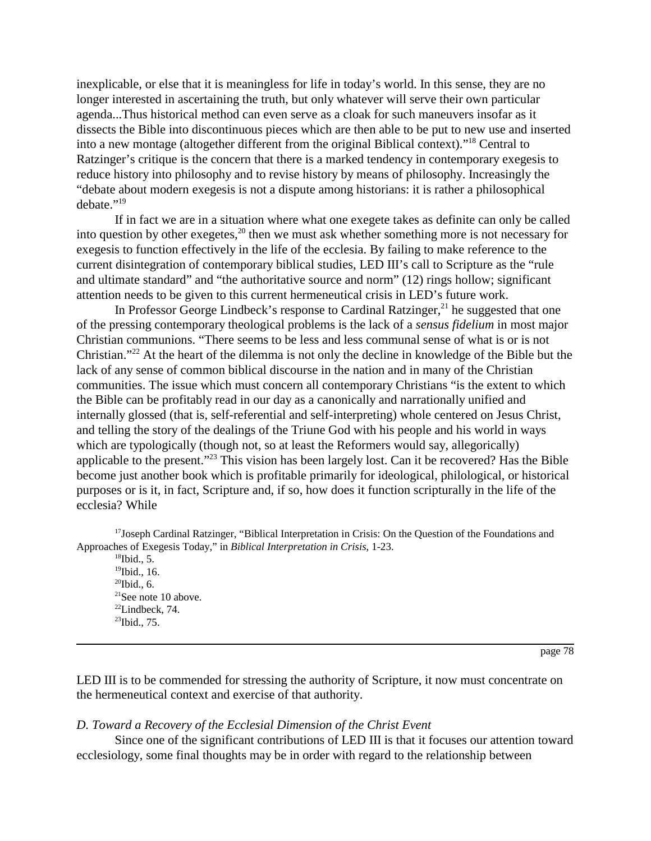inexplicable, or else that it is meaningless for life in today's world. In this sense, they are no longer interested in ascertaining the truth, but only whatever will serve their own particular agenda...Thus historical method can even serve as a cloak for such maneuvers insofar as it dissects the Bible into discontinuous pieces which are then able to be put to new use and inserted into a new montage (altogether different from the original Biblical context)."18 Central to Ratzinger's critique is the concern that there is a marked tendency in contemporary exegesis to reduce history into philosophy and to revise history by means of philosophy. Increasingly the "debate about modern exegesis is not a dispute among historians: it is rather a philosophical debate."19

If in fact we are in a situation where what one exegete takes as definite can only be called into question by other exegetes,<sup>20</sup> then we must ask whether something more is not necessary for exegesis to function effectively in the life of the ecclesia. By failing to make reference to the current disintegration of contemporary biblical studies, LED III's call to Scripture as the "rule and ultimate standard" and "the authoritative source and norm" (12) rings hollow; significant attention needs to be given to this current hermeneutical crisis in LED's future work.

In Professor George Lindbeck's response to Cardinal Ratzinger, $^{21}$  he suggested that one of the pressing contemporary theological problems is the lack of a *sensus fidelium* in most major Christian communions. "There seems to be less and less communal sense of what is or is not Christian."22 At the heart of the dilemma is not only the decline in knowledge of the Bible but the lack of any sense of common biblical discourse in the nation and in many of the Christian communities. The issue which must concern all contemporary Christians "is the extent to which the Bible can be profitably read in our day as a canonically and narrationally unified and internally glossed (that is, self-referential and self-interpreting) whole centered on Jesus Christ, and telling the story of the dealings of the Triune God with his people and his world in ways which are typologically (though not, so at least the Reformers would say, allegorically) applicable to the present."23 This vision has been largely lost. Can it be recovered? Has the Bible become just another book which is profitable primarily for ideological, philological, or historical purposes or is it, in fact, Scripture and, if so, how does it function scripturally in the life of the ecclesia? While

<sup>17</sup>Joseph Cardinal Ratzinger, "Biblical Interpretation in Crisis: On the Question of the Foundations and Approaches of Exegesis Today," in *Biblical Interpretation in Crisis*, 1-23.

 $18$ Ibid., 5. <sup>19</sup>Ibid., 16.  $^{20}$ Ibid., 6. 21See note 10 above.  $22$ Lindbeck, 74.  $^{23}$ Ibid., 75.

page 78

LED III is to be commended for stressing the authority of Scripture, it now must concentrate on the hermeneutical context and exercise of that authority.

## *D. Toward a Recovery of the Ecclesial Dimension of the Christ Event*

Since one of the significant contributions of LED III is that it focuses our attention toward ecclesiology, some final thoughts may be in order with regard to the relationship between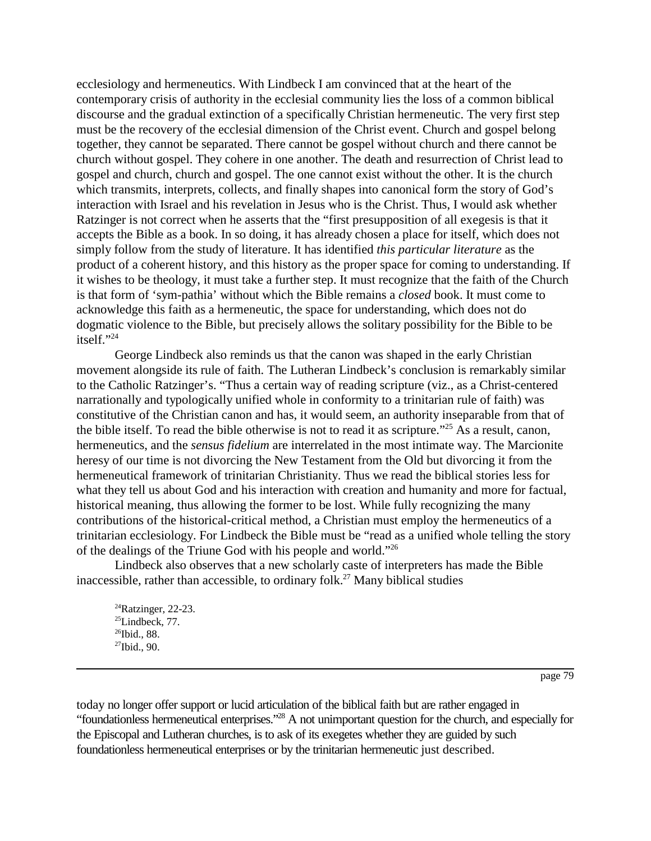ecclesiology and hermeneutics. With Lindbeck I am convinced that at the heart of the contemporary crisis of authority in the ecclesial community lies the loss of a common biblical discourse and the gradual extinction of a specifically Christian hermeneutic. The very first step must be the recovery of the ecclesial dimension of the Christ event. Church and gospel belong together, they cannot be separated. There cannot be gospel without church and there cannot be church without gospel. They cohere in one another. The death and resurrection of Christ lead to gospel and church, church and gospel. The one cannot exist without the other. It is the church which transmits, interprets, collects, and finally shapes into canonical form the story of God's interaction with Israel and his revelation in Jesus who is the Christ. Thus, I would ask whether Ratzinger is not correct when he asserts that the "first presupposition of all exegesis is that it accepts the Bible as a book. In so doing, it has already chosen a place for itself, which does not simply follow from the study of literature. It has identified *this particular literature* as the product of a coherent history, and this history as the proper space for coming to understanding. If it wishes to be theology, it must take a further step. It must recognize that the faith of the Church is that form of 'sym-pathia' without which the Bible remains a *closed* book. It must come to acknowledge this faith as a hermeneutic, the space for understanding, which does not do dogmatic violence to the Bible, but precisely allows the solitary possibility for the Bible to be itself."24

George Lindbeck also reminds us that the canon was shaped in the early Christian movement alongside its rule of faith. The Lutheran Lindbeck's conclusion is remarkably similar to the Catholic Ratzinger's. "Thus a certain way of reading scripture (viz., as a Christ-centered narrationally and typologically unified whole in conformity to a trinitarian rule of faith) was constitutive of the Christian canon and has, it would seem, an authority inseparable from that of the bible itself. To read the bible otherwise is not to read it as scripture."25 As a result, canon, hermeneutics, and the *sensus fidelium* are interrelated in the most intimate way. The Marcionite heresy of our time is not divorcing the New Testament from the Old but divorcing it from the hermeneutical framework of trinitarian Christianity. Thus we read the biblical stories less for what they tell us about God and his interaction with creation and humanity and more for factual, historical meaning, thus allowing the former to be lost. While fully recognizing the many contributions of the historical-critical method, a Christian must employ the hermeneutics of a trinitarian ecclesiology. For Lindbeck the Bible must be "read as a unified whole telling the story of the dealings of the Triune God with his people and world."26

Lindbeck also observes that a new scholarly caste of interpreters has made the Bible inaccessible, rather than accessible, to ordinary folk.<sup>27</sup> Many biblical studies

 $^{24}$ Ratzinger, 22-23.  $^{25}$ Lindbeck, 77. <sup>26</sup>Ibid., 88.  $27$ Ibid., 90.

page 79

today no longer offer support or lucid articulation of the biblical faith but are rather engaged in "foundationless hermeneutical enterprises."28 A not unimportant question for the church, and especially for the Episcopal and Lutheran churches, is to ask of its exegetes whether they are guided by such foundationless hermeneutical enterprises or by the trinitarian hermeneutic just described.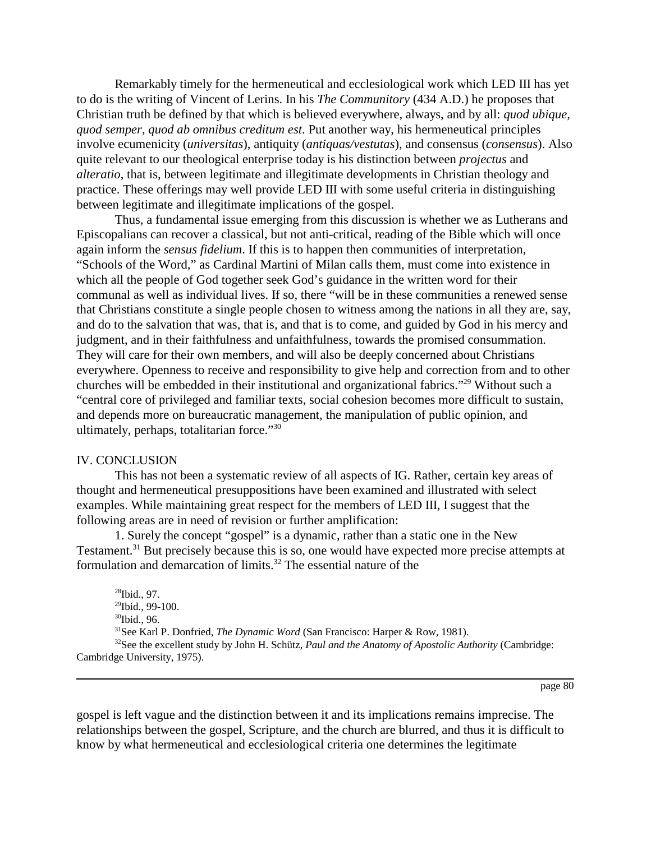Remarkably timely for the hermeneutical and ecclesiological work which LED III has yet to do is the writing of Vincent of Lerins. In his *The Communitory* (434 A.D.) he proposes that Christian truth be defined by that which is believed everywhere, always, and by all: *quod ubique, quod semper, quod ab omnibus creditum est*. Put another way, his hermeneutical principles involve ecumenicity (*universitas*), antiquity (*antiquas/vestutas*), and consensus (*consensus*). Also quite relevant to our theological enterprise today is his distinction between *projectus* and *alteratio*, that is, between legitimate and illegitimate developments in Christian theology and practice. These offerings may well provide LED III with some useful criteria in distinguishing between legitimate and illegitimate implications of the gospel.

Thus, a fundamental issue emerging from this discussion is whether we as Lutherans and Episcopalians can recover a classical, but not anti-critical, reading of the Bible which will once again inform the *sensus fidelium*. If this is to happen then communities of interpretation, "Schools of the Word," as Cardinal Martini of Milan calls them, must come into existence in which all the people of God together seek God's guidance in the written word for their communal as well as individual lives. If so, there "will be in these communities a renewed sense that Christians constitute a single people chosen to witness among the nations in all they are, say, and do to the salvation that was, that is, and that is to come, and guided by God in his mercy and judgment, and in their faithfulness and unfaithfulness, towards the promised consummation. They will care for their own members, and will also be deeply concerned about Christians everywhere. Openness to receive and responsibility to give help and correction from and to other churches will be embedded in their institutional and organizational fabrics."29 Without such a "central core of privileged and familiar texts, social cohesion becomes more difficult to sustain, and depends more on bureaucratic management, the manipulation of public opinion, and ultimately, perhaps, totalitarian force."30

## IV. CONCLUSION

This has not been a systematic review of all aspects of IG. Rather, certain key areas of thought and hermeneutical presuppositions have been examined and illustrated with select examples. While maintaining great respect for the members of LED III, I suggest that the following areas are in need of revision or further amplification:

1. Surely the concept "gospel" is a dynamic, rather than a static one in the New Testament.<sup>31</sup> But precisely because this is so, one would have expected more precise attempts at formulation and demarcation of limits.<sup>32</sup> The essential nature of the

28Ibid., 97.  $^{29}$ Ibid., 99-100. 30Ibid., 96. 31See Karl P. Donfried, *The Dynamic Word* (San Francisco: Harper & Row, 1981). 32See the excellent study by John H. Schütz, *Paul and the Anatomy of Apostolic Authority* (Cambridge: Cambridge University, 1975).

## page 80

gospel is left vague and the distinction between it and its implications remains imprecise. The relationships between the gospel, Scripture, and the church are blurred, and thus it is difficult to know by what hermeneutical and ecclesiological criteria one determines the legitimate